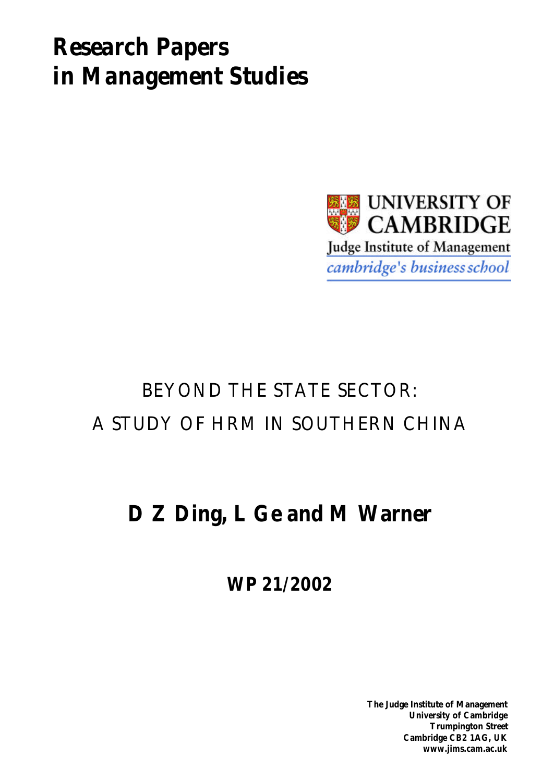# *Research Papers in Management Studies*



# BEYOND THE STATE SECTOR: A STUDY OF HRM IN SOUTHERN CHINA

# **D Z Ding, L Ge and M Warner**

**WP 21/2002**

**The Judge Institute of Management University of Cambridge Trumpington Street Cambridge CB2 1AG, UK www.jims.cam.ac.uk**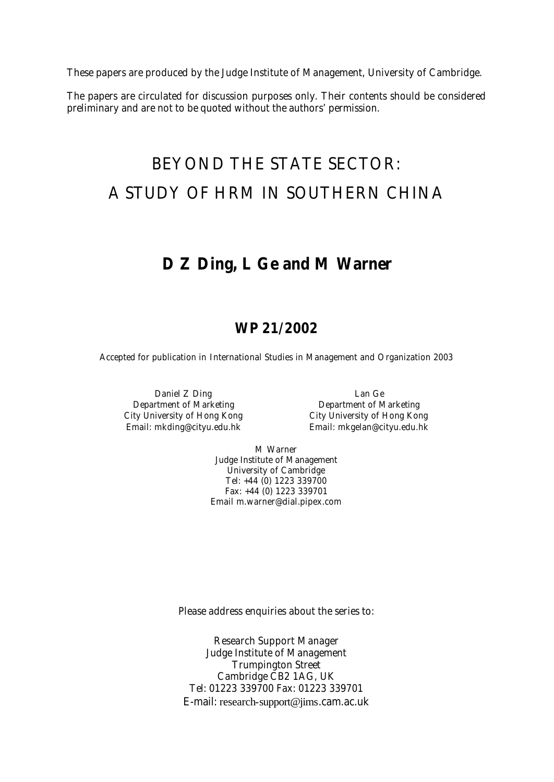These papers are produced by the Judge Institute of Management, University of Cambridge.

The papers are circulated for discussion purposes only. Their contents should be considered preliminary and are not to be quoted without the authors' permission.

## BEYOND THE STATE SECTOR: A STUDY OF HRM IN SOUTHERN CHINA

## **D Z Ding, L Ge and M Warner**

## **WP 21/2002**

Accepted for publication in *International Studies in Management and Organization* 2003

Daniel Z Ding **Lan Ge** City University of Hong Kong City University of Hong Kong

Department of Marketing Department of Marketing Email: mkding@cityu.edu.hk Email: mkgelan@cityu.edu.hk

> M Warner Judge Institute of Management University of Cambridge Tel: +44 (0) 1223 339700 Fax: +44 (0) 1223 339701 Email m.warner@dial.pipex.com

Please address enquiries about the series to:

Research Support Manager Judge Institute of Management Trumpington Street Cambridge CB2 1AG, UK Tel: 01223 339700 Fax: 01223 339701 E-mail: research-support@jims.cam.ac.uk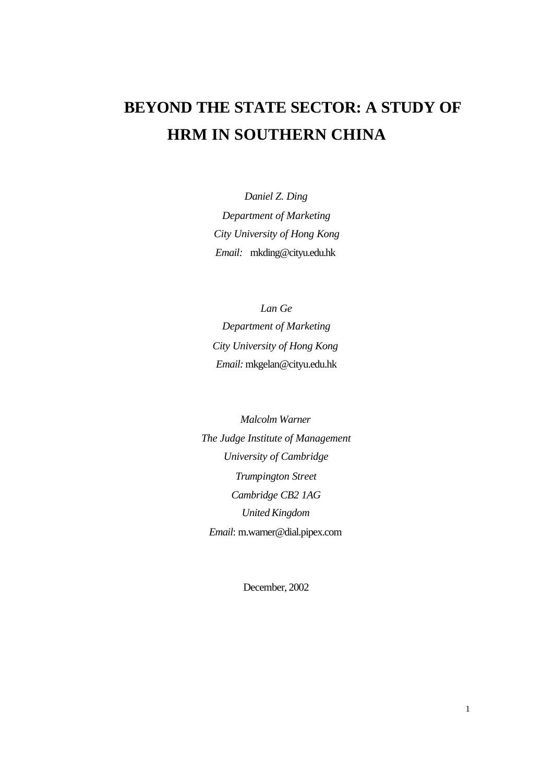## **BEYOND THE STATE SECTOR: A STUDY OF HRM IN SOUTHERN CHINA**

*Daniel Z. Ding Department of Marketing City University of Hong Kong Email:* mkding@cityu.edu.hk

*Lan Ge Department of Marketing City University of Hong Kong Email:* mkgelan@cityu.edu.hk

*Malcolm Warner The Judge Institute of Management University of Cambridge Trumpington Street Cambridge CB2 1AG United Kingdom Email*: m.warner@dial.pipex.com

December, 2002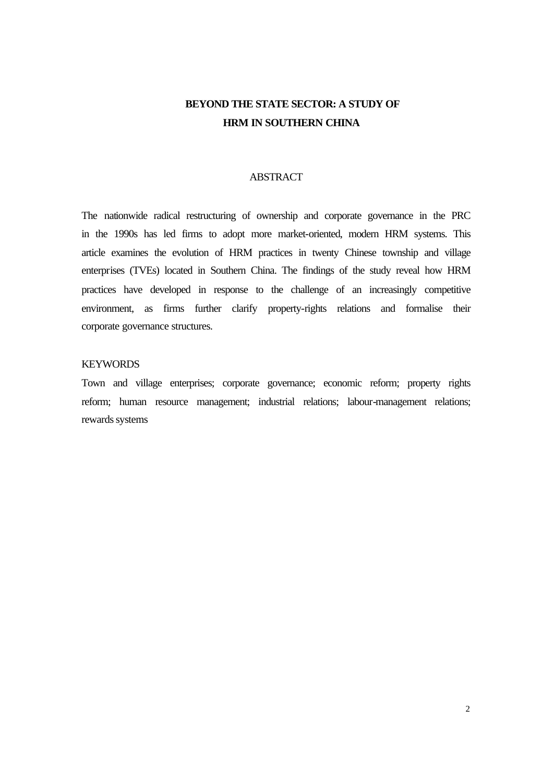## **BEYOND THE STATE SECTOR: A STUDY OF HRM IN SOUTHERN CHINA**

#### ABSTRACT

The nationwide radical restructuring of ownership and corporate governance in the PRC in the 1990s has led firms to adopt more market-oriented, modern HRM systems. This article examines the evolution of HRM practices in twenty Chinese township and village enterprises (TVEs) located in Southern China. The findings of the study reveal how HRM practices have developed in response to the challenge of an increasingly competitive environment, as firms further clarify property-rights relations and formalise their corporate governance structures.

#### KEYWORDS

Town and village enterprises; corporate governance; economic reform; property rights reform; human resource management; industrial relations; labour-management relations; rewards systems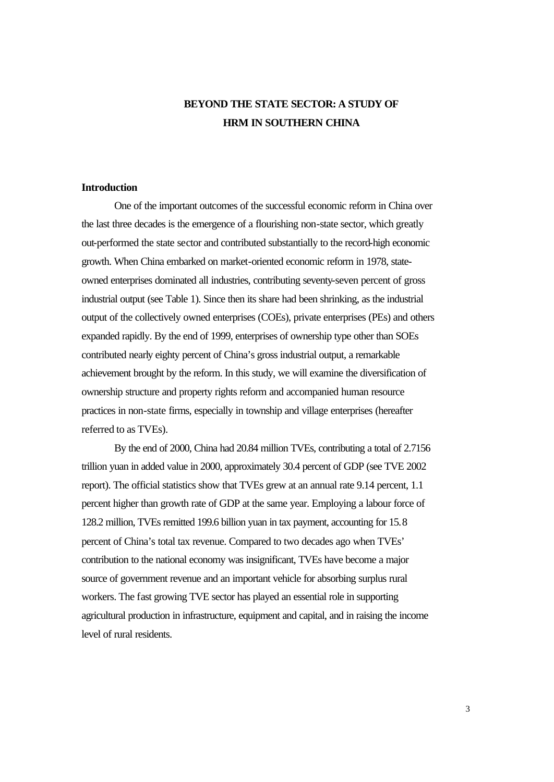## **BEYOND THE STATE SECTOR: A STUDY OF HRM IN SOUTHERN CHINA**

#### **Introduction**

One of the important outcomes of the successful economic reform in China over the last three decades is the emergence of a flourishing non-state sector, which greatly out-performed the state sector and contributed substantially to the record-high economic growth. When China embarked on market-oriented economic reform in 1978, stateowned enterprises dominated all industries, contributing seventy-seven percent of gross industrial output (see Table 1). Since then its share had been shrinking, as the industrial output of the collectively owned enterprises (COEs), private enterprises (PEs) and others expanded rapidly. By the end of 1999, enterprises of ownership type other than SOEs contributed nearly eighty percent of China's gross industrial output, a remarkable achievement brought by the reform. In this study, we will examine the diversification of ownership structure and property rights reform and accompanied human resource practices in non-state firms, especially in township and village enterprises (hereafter referred to as TVEs).

By the end of 2000, China had 20.84 million TVEs, contributing a total of 2.7156 trillion yuan in added value in 2000, approximately 30.4 percent of GDP (see TVE 2002 report). The official statistics show that TVEs grew at an annual rate 9.14 percent, 1.1 percent higher than growth rate of GDP at the same year. Employing a labour force of 128.2 million, TVEs remitted 199.6 billion yuan in tax payment, accounting for 15.8 percent of China's total tax revenue. Compared to two decades ago when TVEs' contribution to the national economy was insignificant, TVEs have become a major source of government revenue and an important vehicle for absorbing surplus rural workers. The fast growing TVE sector has played an essential role in supporting agricultural production in infrastructure, equipment and capital, and in raising the income level of rural residents.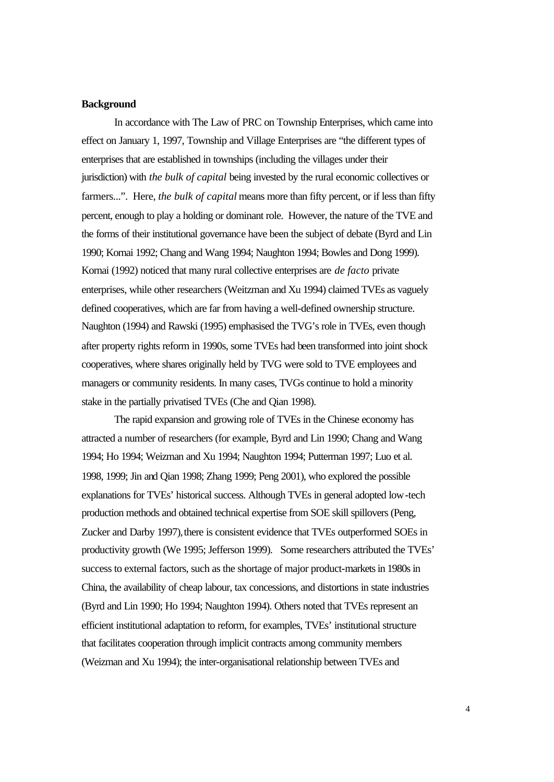#### **Background**

In accordance with The Law of PRC on Township Enterprises, which came into effect on January 1, 1997, Township and Village Enterprises are "the different types of enterprises that are established in townships (including the villages under their jurisdiction) with *the bulk of capital* being invested by the rural economic collectives or farmers...". Here, *the bulk of capital* means more than fifty percent, or if less than fifty percent, enough to play a holding or dominant role. However, the nature of the TVE and the forms of their institutional governance have been the subject of debate (Byrd and Lin 1990; Kornai 1992; Chang and Wang 1994; Naughton 1994; Bowles and Dong 1999). Kornai (1992) noticed that many rural collective enterprises are *de facto* private enterprises, while other researchers (Weitzman and Xu 1994) claimed TVEs as vaguely defined cooperatives, which are far from having a well-defined ownership structure. Naughton (1994) and Rawski (1995) emphasised the TVG's role in TVEs, even though after property rights reform in 1990s, some TVEs had been transformed into joint shock cooperatives, where shares originally held by TVG were sold to TVE employees and managers or community residents. In many cases, TVGs continue to hold a minority stake in the partially privatised TVEs (Che and Qian 1998).

The rapid expansion and growing role of TVEs in the Chinese economy has attracted a number of researchers (for example, Byrd and Lin 1990; Chang and Wang 1994; Ho 1994; Weizman and Xu 1994; Naughton 1994; Putterman 1997; Luo et al. 1998, 1999; Jin and Qian 1998; Zhang 1999; Peng 2001), who explored the possible explanations for TVEs' historical success. Although TVEs in general adopted low-tech production methods and obtained technical expertise from SOE skill spillovers (Peng, Zucker and Darby 1997), there is consistent evidence that TVEs outperformed SOEs in productivity growth (We 1995; Jefferson 1999). Some researchers attributed the TVEs' success to external factors, such as the shortage of major product-markets in 1980s in China, the availability of cheap labour, tax concessions, and distortions in state industries (Byrd and Lin 1990; Ho 1994; Naughton 1994). Others noted that TVEs represent an efficient institutional adaptation to reform, for examples, TVEs' institutional structure that facilitates cooperation through implicit contracts among community members (Weizman and Xu 1994); the inter-organisational relationship between TVEs and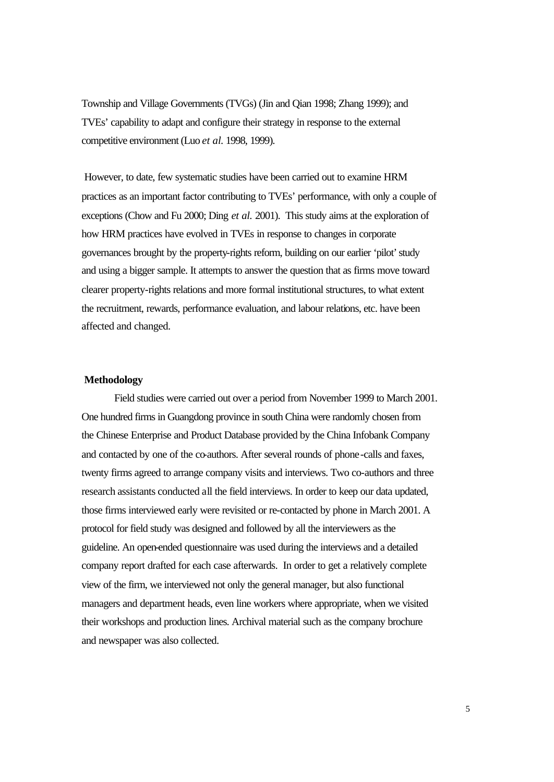Township and Village Governments (TVGs) (Jin and Qian 1998; Zhang 1999); and TVEs' capability to adapt and configure their strategy in response to the external competitive environment (Luo *et al.* 1998, 1999).

 However, to date, few systematic studies have been carried out to examine HRM practices as an important factor contributing to TVEs' performance, with only a couple of exceptions (Chow and Fu 2000; Ding *et al.* 2001). This study aims at the exploration of how HRM practices have evolved in TVEs in response to changes in corporate governances brought by the property-rights reform, building on our earlier 'pilot' study and using a bigger sample. It attempts to answer the question that as firms move toward clearer property-rights relations and more formal institutional structures, to what extent the recruitment, rewards, performance evaluation, and labour relations, etc. have been affected and changed.

#### **Methodology**

Field studies were carried out over a period from November 1999 to March 2001. One hundred firms in Guangdong province in south China were randomly chosen from the Chinese Enterprise and Product Database provided by the China Infobank Company and contacted by one of the co-authors. After several rounds of phone-calls and faxes, twenty firms agreed to arrange company visits and interviews. Two co-authors and three research assistants conducted all the field interviews. In order to keep our data updated, those firms interviewed early were revisited or re-contacted by phone in March 2001. A protocol for field study was designed and followed by all the interviewers as the guideline. An open-ended questionnaire was used during the interviews and a detailed company report drafted for each case afterwards. In order to get a relatively complete view of the firm, we interviewed not only the general manager, but also functional managers and department heads, even line workers where appropriate, when we visited their workshops and production lines. Archival material such as the company brochure and newspaper was also collected.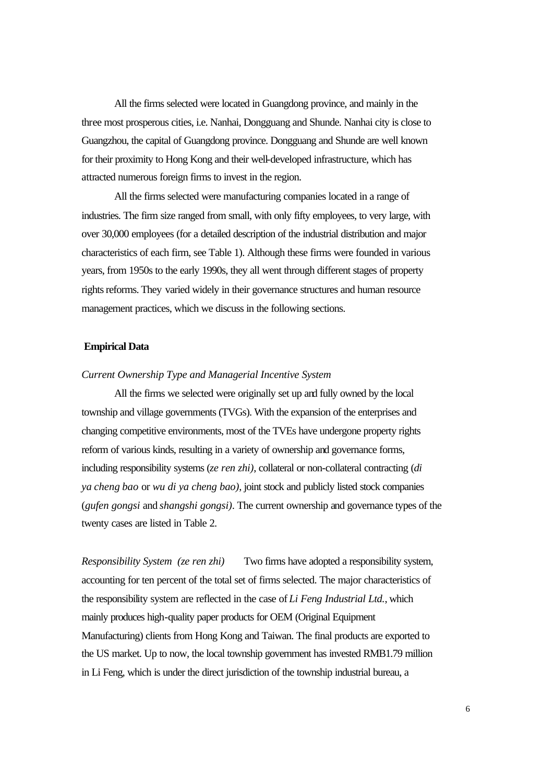All the firms selected were located in Guangdong province, and mainly in the three most prosperous cities, i.e. Nanhai, Dongguang and Shunde. Nanhai city is close to Guangzhou, the capital of Guangdong province. Dongguang and Shunde are well known for their proximity to Hong Kong and their well-developed infrastructure, which has attracted numerous foreign firms to invest in the region.

All the firms selected were manufacturing companies located in a range of industries. The firm size ranged from small, with only fifty employees, to very large, with over 30,000 employees (for a detailed description of the industrial distribution and major characteristics of each firm, see Table 1). Although these firms were founded in various years, from 1950s to the early 1990s, they all went through different stages of property rights reforms. They varied widely in their governance structures and human resource management practices, which we discuss in the following sections.

#### **Empirical Data**

#### *Current Ownership Type and Managerial Incentive System*

All the firms we selected were originally set up and fully owned by the local township and village governments (TVGs). With the expansion of the enterprises and changing competitive environments, most of the TVEs have undergone property rights reform of various kinds, resulting in a variety of ownership and governance forms, including responsibility systems (*ze ren zhi)*, collateral or non-collateral contracting (*di ya cheng bao* or *wu di ya cheng bao)*, joint stock and publicly listed stock companies (*gufen gongsi* and *shangshi gongsi)*. The current ownership and governance types of the twenty cases are listed in Table 2.

*Responsibility System (ze ren zhi)* Two firms have adopted a responsibility system, accounting for ten percent of the total set of firms selected. The major characteristics of the responsibility system are reflected in the case of *Li Feng Industrial Ltd.*, which mainly produces high-quality paper products for OEM (Original Equipment Manufacturing) clients from Hong Kong and Taiwan. The final products are exported to the US market. Up to now, the local township government has invested RMB1.79 million in Li Feng, which is under the direct jurisdiction of the township industrial bureau, a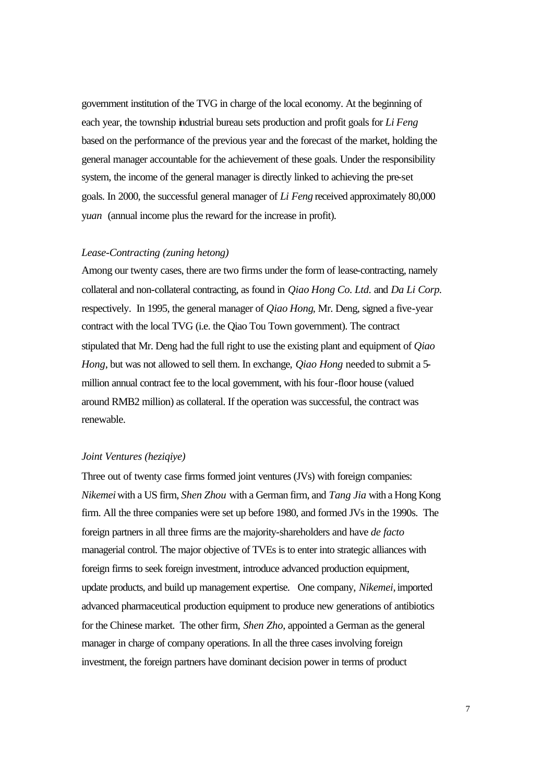government institution of the TVG in charge of the local economy. At the beginning of each year, the township industrial bureau sets production and profit goals for *Li Feng* based on the performance of the previous year and the forecast of the market, holding the general manager accountable for the achievement of these goals. Under the responsibility system, the income of the general manager is directly linked to achieving the pre-set goals. In 2000, the successful general manager of *Li Feng* received approximately 80,000 y*uan* (annual income plus the reward for the increase in profit).

#### *Lease-Contracting (zuning hetong)*

Among our twenty cases, there are two firms under the form of lease-contracting, namely collateral and non-collateral contracting, as found in *Qiao Hong Co. Ltd.* and *Da Li Corp.* respectively. In 1995, the general manager of *Qiao Hong*, Mr. Deng, signed a five-year contract with the local TVG (i.e. the Qiao Tou Town government). The contract stipulated that Mr. Deng had the full right to use the existing plant and equipment of *Qiao Hong*, but was not allowed to sell them. In exchange, *Qiao Hong* needed to submit a 5 million annual contract fee to the local government, with his four-floor house (valued around RMB2 million) as collateral. If the operation was successful, the contract was renewable.

#### *Joint Ventures (heziqiye)*

Three out of twenty case firms formed joint ventures (JVs) with foreign companies: *Nikemei* with a US firm, *Shen Zhou* with a German firm, and *Tang Jia* with a Hong Kong firm. All the three companies were set up before 1980, and formed JVs in the 1990s. The foreign partners in all three firms are the majority-shareholders and have *de facto* managerial control. The major objective of TVEs is to enter into strategic alliances with foreign firms to seek foreign investment, introduce advanced production equipment, update products, and build up management expertise. One company, *Nikemei*, imported advanced pharmaceutical production equipment to produce new generations of antibiotics for the Chinese market. The other firm, *Shen Zho*, appointed a German as the general manager in charge of company operations. In all the three cases involving foreign investment, the foreign partners have dominant decision power in terms of product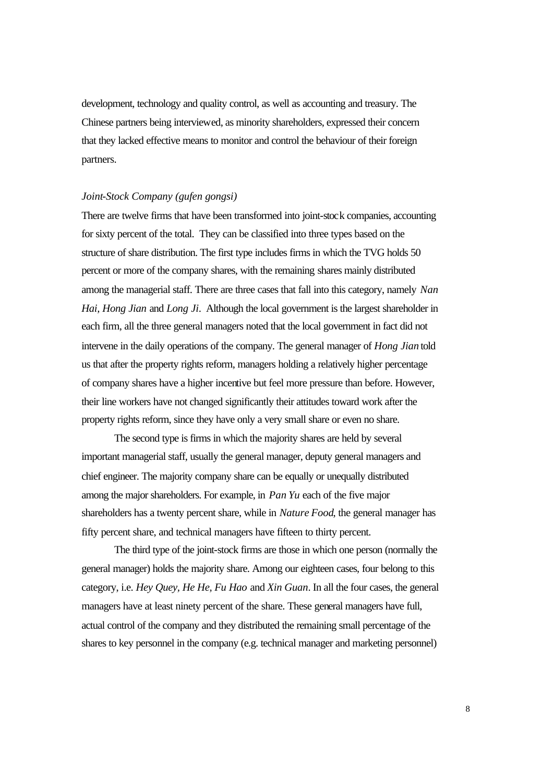development, technology and quality control, as well as accounting and treasury. The Chinese partners being interviewed, as minority shareholders, expressed their concern that they lacked effective means to monitor and control the behaviour of their foreign partners.

#### *Joint-Stock Company (gufen gongsi)*

There are twelve firms that have been transformed into joint-stock companies, accounting for sixty percent of the total. They can be classified into three types based on the structure of share distribution. The first type includes firms in which the TVG holds 50 percent or more of the company shares, with the remaining shares mainly distributed among the managerial staff. There are three cases that fall into this category, namely *Nan Hai, Hong Jian* and *Long Ji*. Although the local government is the largest shareholder in each firm, all the three general managers noted that the local government in fact did not intervene in the daily operations of the company. The general manager of *Hong Jian* told us that after the property rights reform, managers holding a relatively higher percentage of company shares have a higher incentive but feel more pressure than before. However, their line workers have not changed significantly their attitudes toward work after the property rights reform, since they have only a very small share or even no share.

The second type is firms in which the majority shares are held by several important managerial staff, usually the general manager, deputy general managers and chief engineer. The majority company share can be equally or unequally distributed among the major shareholders. For example, in *Pan Yu* each of the five major shareholders has a twenty percent share, while in *Nature Food*, the general manager has fifty percent share, and technical managers have fifteen to thirty percent.

The third type of the joint-stock firms are those in which one person (normally the general manager) holds the majority share. Among our eighteen cases, four belong to this category, i.e. *Hey Quey, He He, Fu Hao* and *Xin Guan*. In all the four cases, the general managers have at least ninety percent of the share. These general managers have full, actual control of the company and they distributed the remaining small percentage of the shares to key personnel in the company (e.g. technical manager and marketing personnel)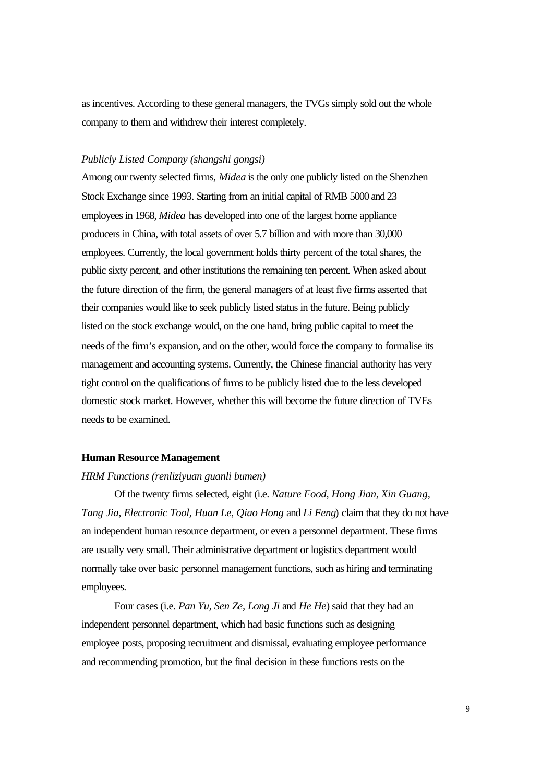as incentives. According to these general managers, the TVGs simply sold out the whole company to them and withdrew their interest completely.

#### *Publicly Listed Company (shangshi gongsi)*

Among our twenty selected firms, *Midea* is the only one publicly listed on the Shenzhen Stock Exchange since 1993. Starting from an initial capital of RMB 5000 and 23 employees in 1968, *Midea* has developed into one of the largest home appliance producers in China, with total assets of over 5.7 billion and with more than 30,000 employees. Currently, the local government holds thirty percent of the total shares, the public sixty percent, and other institutions the remaining ten percent. When asked about the future direction of the firm, the general managers of at least five firms asserted that their companies would like to seek publicly listed status in the future. Being publicly listed on the stock exchange would, on the one hand, bring public capital to meet the needs of the firm's expansion, and on the other, would force the company to formalise its management and accounting systems. Currently, the Chinese financial authority has very tight control on the qualifications of firms to be publicly listed due to the less developed domestic stock market. However, whether this will become the future direction of TVEs needs to be examined.

#### **Human Resource Management**

#### *HRM Functions (renliziyuan guanli bumen)*

Of the twenty firms selected, eight (i.e. *Nature Food, Hong Jian, Xin Guang, Tang Jia, Electronic Tool, Huan Le, Qiao Hong* and *Li Feng*) claim that they do not have an independent human resource department, or even a personnel department. These firms are usually very small. Their administrative department or logistics department would normally take over basic personnel management functions, such as hiring and terminating employees.

Four cases (i.e. *Pan Yu, Sen Ze, Long Ji* and *He He*) said that they had an independent personnel department, which had basic functions such as designing employee posts, proposing recruitment and dismissal, evaluating employee performance and recommending promotion, but the final decision in these functions rests on the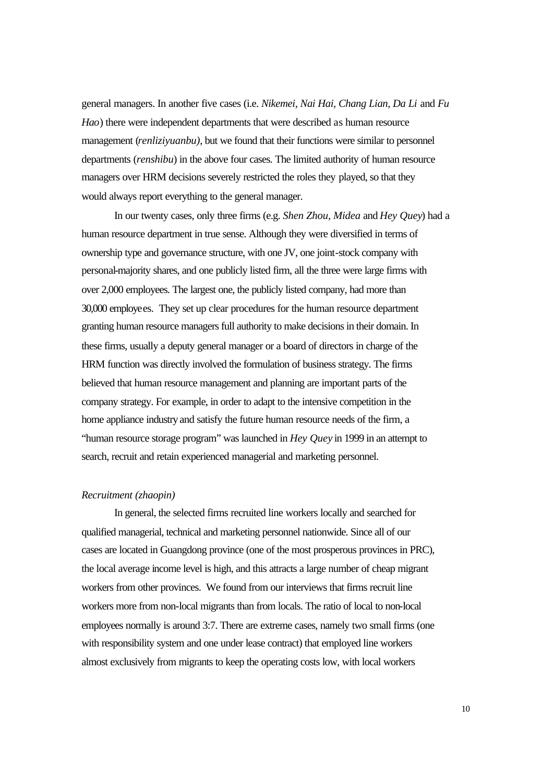general managers. In another five cases (i.e. *Nikemei, Nai Hai, Chang Lian, Da Li* and *Fu Hao*) there were independent departments that were described as human resource management *(renliziyuanbu)*, but we found that their functions were similar to personnel departments (*renshibu*) in the above four cases. The limited authority of human resource managers over HRM decisions severely restricted the roles they played, so that they would always report everything to the general manager.

In our twenty cases, only three firms (e.g. *Shen Zhou, Midea* and *Hey Quey*) had a human resource department in true sense. Although they were diversified in terms of ownership type and governance structure, with one JV, one joint-stock company with personal-majority shares, and one publicly listed firm, all the three were large firms with over 2,000 employees. The largest one, the publicly listed company, had more than 30,000 employees. They set up clear procedures for the human resource department granting human resource managers full authority to make decisions in their domain. In these firms, usually a deputy general manager or a board of directors in charge of the HRM function was directly involved the formulation of business strategy. The firms believed that human resource management and planning are important parts of the company strategy. For example, in order to adapt to the intensive competition in the home appliance industry and satisfy the future human resource needs of the firm, a "human resource storage program" was launched in *Hey Quey* in 1999 in an attempt to search, recruit and retain experienced managerial and marketing personnel.

#### *Recruitment (zhaopin)*

In general, the selected firms recruited line workers locally and searched for qualified managerial, technical and marketing personnel nationwide. Since all of our cases are located in Guangdong province (one of the most prosperous provinces in PRC), the local average income level is high, and this attracts a large number of cheap migrant workers from other provinces. We found from our interviews that firms recruit line workers more from non-local migrants than from locals. The ratio of local to non-local employees normally is around 3:7. There are extreme cases, namely two small firms (one with responsibility system and one under lease contract) that employed line workers almost exclusively from migrants to keep the operating costs low, with local workers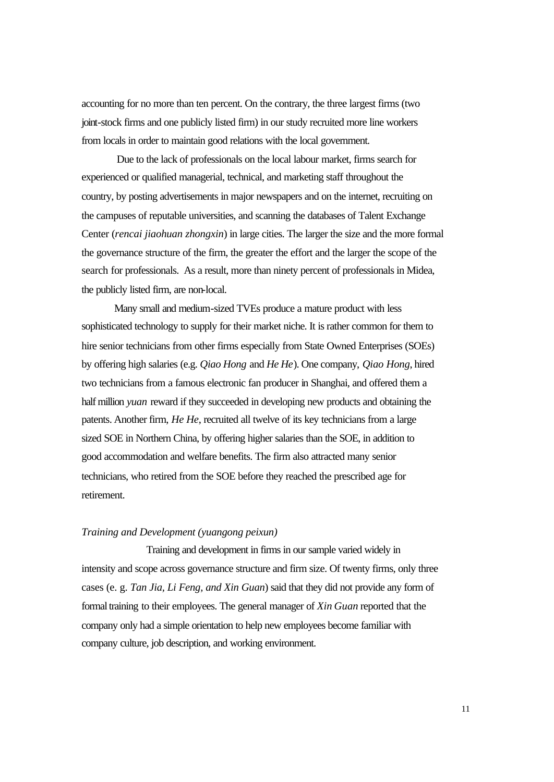accounting for no more than ten percent. On the contrary, the three largest firms (two joint-stock firms and one publicly listed firm) in our study recruited more line workers from locals in order to maintain good relations with the local government.

 Due to the lack of professionals on the local labour market, firms search for experienced or qualified managerial, technical, and marketing staff throughout the country, by posting advertisements in major newspapers and on the internet, recruiting on the campuses of reputable universities, and scanning the databases of Talent Exchange Center (*rencai jiaohuan zhongxin*) in large cities. The larger the size and the more formal the governance structure of the firm, the greater the effort and the larger the scope of the search for professionals. As a result, more than ninety percent of professionals in Midea, the publicly listed firm, are non-local.

Many small and medium-sized TVEs produce a mature product with less sophisticated technology to supply for their market niche. It is rather common for them to hire senior technicians from other firms especially from State Owned Enterprises (SOEs) by offering high salaries (e.g. *Qiao Hong* and *He He*). One company, *Qiao Hong*, hired two technicians from a famous electronic fan producer in Shanghai, and offered them a half million *yuan* reward if they succeeded in developing new products and obtaining the patents. Another firm, *He He*, recruited all twelve of its key technicians from a large sized SOE in Northern China, by offering higher salaries than the SOE, in addition to good accommodation and welfare benefits. The firm also attracted many senior technicians, who retired from the SOE before they reached the prescribed age for retirement.

#### *Training and Development (yuangong peixun)*

Training and development in firms in our sample varied widely in intensity and scope across governance structure and firm size. Of twenty firms, only three cases (e. g. *Tan Jia, Li Feng, and Xin Guan*) said that they did not provide any form of formal training to their employees. The general manager of *Xin Guan* reported that the company only had a simple orientation to help new employees become familiar with company culture, job description, and working environment.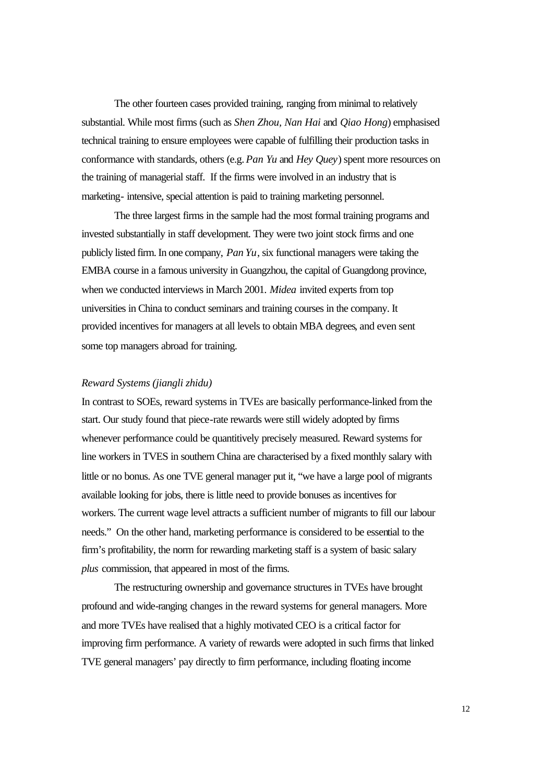The other fourteen cases provided training, ranging from minimal to relatively substantial. While most firms (such as *Shen Zhou, Nan Hai* and *Qiao Hong*) emphasised technical training to ensure employees were capable of fulfilling their production tasks in conformance with standards, others (e.g. *Pan Yu* and *Hey Quey*) spent more resources on the training of managerial staff. If the firms were involved in an industry that is marketing- intensive, special attention is paid to training marketing personnel.

The three largest firms in the sample had the most formal training programs and invested substantially in staff development. They were two joint stock firms and one publicly listed firm. In one company, *Pan Yu*, six functional managers were taking the EMBA course in a famous university in Guangzhou, the capital of Guangdong province, when we conducted interviews in March 2001. *Midea* invited experts from top universities in China to conduct seminars and training courses in the company. It provided incentives for managers at all levels to obtain MBA degrees, and even sent some top managers abroad for training.

#### *Reward Systems (jiangli zhidu)*

In contrast to SOEs, reward systems in TVEs are basically performance-linked from the start. Our study found that piece-rate rewards were still widely adopted by firms whenever performance could be quantitively precisely measured. Reward systems for line workers in TVES in southern China are characterised by a fixed monthly salary with little or no bonus. As one TVE general manager put it, "we have a large pool of migrants available looking for jobs, there is little need to provide bonuses as incentives for workers. The current wage level attracts a sufficient number of migrants to fill our labour needs." On the other hand, marketing performance is considered to be essential to the firm's profitability, the norm for rewarding marketing staff is a system of basic salary *plus* commission, that appeared in most of the firms.

The restructuring ownership and governance structures in TVEs have brought profound and wide-ranging changes in the reward systems for general managers. More and more TVEs have realised that a highly motivated CEO is a critical factor for improving firm performance. A variety of rewards were adopted in such firms that linked TVE general managers' pay directly to firm performance, including floating income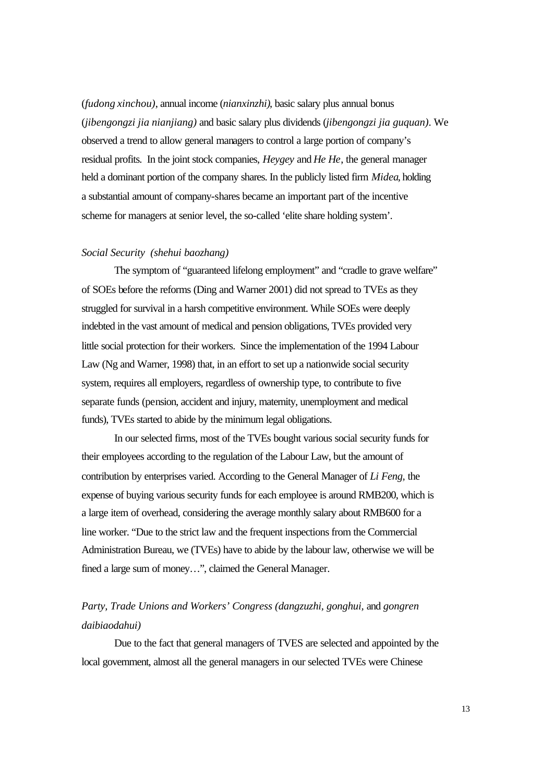(*fudong xinchou)*, annual income (*nianxinzhi)*, basic salary plus annual bonus (*jibengongzi jia nianjiang)* and basic salary plus dividends (*jibengongzi jia guquan)*. We observed a trend to allow general managers to control a large portion of company's residual profits. In the joint stock companies, *Heygey* and *He He*, the general manager held a dominant portion of the company shares. In the publicly listed firm *Midea*, holding a substantial amount of company-shares became an important part of the incentive scheme for managers at senior level, the so-called 'elite share holding system'.

#### *Social Security (shehui baozhang)*

The symptom of "guaranteed lifelong employment" and "cradle to grave welfare" of SOEs before the reforms (Ding and Warner 2001) did not spread to TVEs as they struggled for survival in a harsh competitive environment. While SOEs were deeply indebted in the vast amount of medical and pension obligations, TVEs provided very little social protection for their workers. Since the implementation of the 1994 Labour Law (Ng and Warner, 1998) that, in an effort to set up a nationwide social security system, requires all employers, regardless of ownership type, to contribute to five separate funds (pension, accident and injury, maternity, unemployment and medical funds), TVEs started to abide by the minimum legal obligations.

In our selected firms, most of the TVEs bought various social security funds for their employees according to the regulation of the Labour Law, but the amount of contribution by enterprises varied. According to the General Manager of *Li Feng,* the expense of buying various security funds for each employee is around RMB200, which is a large item of overhead, considering the average monthly salary about RMB600 for a line worker. "Due to the strict law and the frequent inspections from the Commercial Administration Bureau, we (TVEs) have to abide by the labour law, otherwise we will be fined a large sum of money…", claimed the General Manager.

## *Party, Trade Unions and Workers' Congress (dangzuzhi, gonghui,* and *gongren daibiaodahui)*

Due to the fact that general managers of TVES are selected and appointed by the local government, almost all the general managers in our selected TVEs were Chinese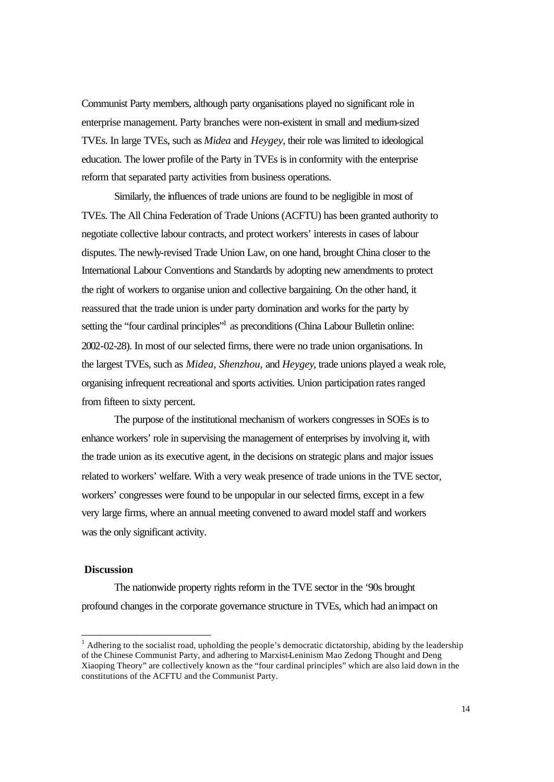Communist Party members, although party organisations played no significant role in enterprise management. Party branches were non-existent in small and medium-sized TVEs. In large TVEs, such as *Midea* and *Heygey*, their role was limited to ideological education. The lower profile of the Party in TVEs is in conformity with the enterprise reform that separated party activities from business operations.

Similarly, the influences of trade unions are found to be negligible in most of TVEs. The All China Federation of Trade Unions (ACFTU) has been granted authority to negotiate collective labour contracts, and protect workers' interests in cases of labour disputes. The newly-revised Trade Union Law, on one hand, brought China closer to the International Labour Conventions and Standards by adopting new amendments to protect the right of workers to organise union and collective bargaining. On the other hand, it reassured that the trade union is under party domination and works for the party by setting the "four cardinal principles"<sup>1</sup> as preconditions (China Labour Bulletin online: 2002-02-28). In most of our selected firms, there were no trade union organisations. In the largest TVEs, such as *Midea, Shenzhou,* and *Heygey*, trade unions played a weak role, organising infrequent recreational and sports activities. Union participation rates ranged from fifteen to sixty percent.

The purpose of the institutional mechanism of workers congresses in SOEs is to enhance workers' role in supervising the management of enterprises by involving it, with the trade union as its executive agent, in the decisions on strategic plans and major issues related to workers' welfare. With a very weak presence of trade unions in the TVE sector, workers' congresses were found to be unpopular in our selected firms, except in a few very large firms, where an annual meeting convened to award model staff and workers was the only significant activity.

#### **Discussion**

l

The nationwide property rights reform in the TVE sector in the '90s brought profound changes in the corporate governance structure in TVEs, which had an impact on

<sup>1</sup> Adhering to the socialist road, upholding the people's democratic dictatorship, abiding by the leadership of the Chinese Communist Party, and adhering to Marxist-Leninism Mao Zedong Thought and Deng Xiaoping Theory" are collectively known as the "four cardinal principles" which are also laid down in the constitutions of the ACFTU and the Communist Party.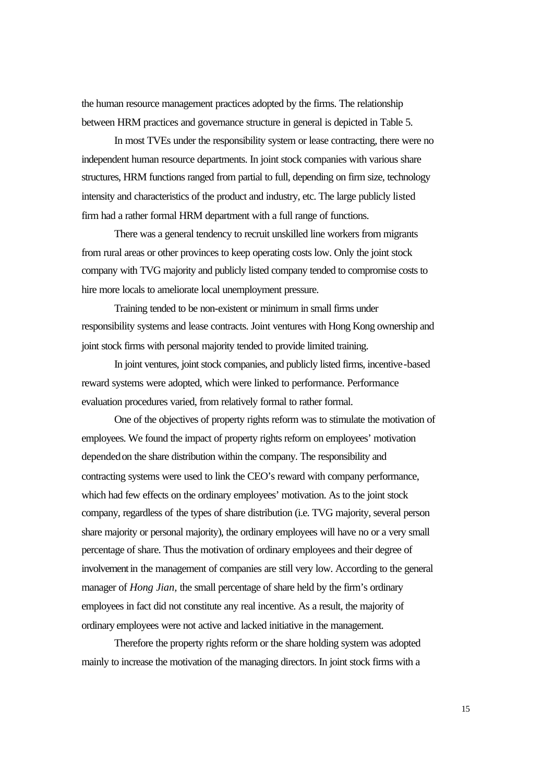the human resource management practices adopted by the firms. The relationship between HRM practices and governance structure in general is depicted in Table 5.

In most TVEs under the responsibility system or lease contracting, there were no independent human resource departments. In joint stock companies with various share structures, HRM functions ranged from partial to full, depending on firm size, technology intensity and characteristics of the product and industry, etc. The large publicly listed firm had a rather formal HRM department with a full range of functions.

There was a general tendency to recruit unskilled line workers from migrants from rural areas or other provinces to keep operating costs low. Only the joint stock company with TVG majority and publicly listed company tended to compromise costs to hire more locals to ameliorate local unemployment pressure.

Training tended to be non-existent or minimum in small firms under responsibility systems and lease contracts. Joint ventures with Hong Kong ownership and joint stock firms with personal majority tended to provide limited training.

In joint ventures, joint stock companies, and publicly listed firms, incentive-based reward systems were adopted, which were linked to performance. Performance evaluation procedures varied, from relatively formal to rather formal.

One of the objectives of property rights reform was to stimulate the motivation of employees. We found the impact of property rights reform on employees' motivation depended on the share distribution within the company. The responsibility and contracting systems were used to link the CEO's reward with company performance, which had few effects on the ordinary employees' motivation. As to the joint stock company, regardless of the types of share distribution (i.e. TVG majority, several person share majority or personal majority), the ordinary employees will have no or a very small percentage of share. Thus the motivation of ordinary employees and their degree of involvement in the management of companies are still very low. According to the general manager of *Hong Jian,* the small percentage of share held by the firm's ordinary employees in fact did not constitute any real incentive. As a result, the majority of ordinary employees were not active and lacked initiative in the management.

Therefore the property rights reform or the share holding system was adopted mainly to increase the motivation of the managing directors. In joint stock firms with a

15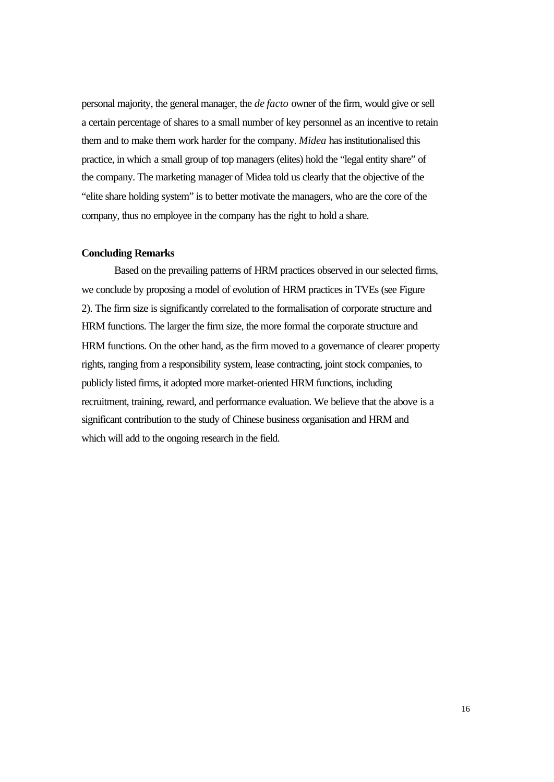personal majority, the general manager, the *de facto* owner of the firm, would give or sell a certain percentage of shares to a small number of key personnel as an incentive to retain them and to make them work harder for the company. *Midea* has institutionalised this practice, in which a small group of top managers (elites) hold the "legal entity share" of the company. The marketing manager of Midea told us clearly that the objective of the "elite share holding system" is to better motivate the managers, who are the core of the company, thus no employee in the company has the right to hold a share.

#### **Concluding Remarks**

Based on the prevailing patterns of HRM practices observed in our selected firms, we conclude by proposing a model of evolution of HRM practices in TVEs (see Figure 2). The firm size is significantly correlated to the formalisation of corporate structure and HRM functions. The larger the firm size, the more formal the corporate structure and HRM functions. On the other hand, as the firm moved to a governance of clearer property rights, ranging from a responsibility system, lease contracting, joint stock companies, to publicly listed firms, it adopted more market-oriented HRM functions, including recruitment, training, reward, and performance evaluation. We believe that the above is a significant contribution to the study of Chinese business organisation and HRM and which will add to the ongoing research in the field.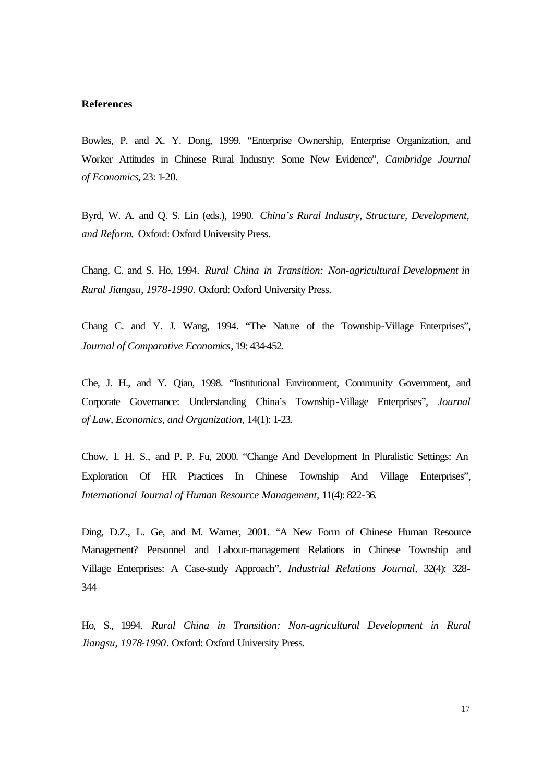#### **References**

Bowles, P. and X. Y. Dong, 1999. "Enterprise Ownership, Enterprise Organization, and Worker Attitudes in Chinese Rural Industry: Some New Evidence", *Cambridge Journal of Economics*, 23: 1-20.

Byrd, W. A. and Q. S. Lin (eds.), 1990. *China's Rural Industry, Structure, Development, and Reform*. Oxford: Oxford University Press.

Chang, C. and S. Ho, 1994. *Rural China in Transition: Non-agricultural Development in Rural Jiangsu, 1978-1990.* Oxford: Oxford University Press.

Chang C. and Y. J. Wang, 1994. "The Nature of the Township-Village Enterprises", *Journal of Comparative Economics*, 19: 434-452.

Che, J. H., and Y. Qian, 1998. "Institutional Environment, Community Government, and Corporate Governance: Understanding China's Township-Village Enterprises", *Journal of Law, Economics, and Organization,* 14(1): 1-23.

Chow, I. H. S., and P. P. Fu, 2000. "Change And Development In Pluralistic Settings: An Exploration Of HR Practices In Chinese Township And Village Enterprises", *International Journal of Human Resource Management,* 11(4): 822-36.

Ding, D.Z., L. Ge, and M. Warner, 2001. "A New Form of Chinese Human Resource Management? Personnel and Labour-management Relations in Chinese Township and Village Enterprises: A Case-study Approach", *Industrial Relations Journal,* 32(4): 328- 344

Ho, S., 1994. *Rural China in Transition: Non-agricultural Development in Rural Jiangsu, 1978-1990*. Oxford: Oxford University Press.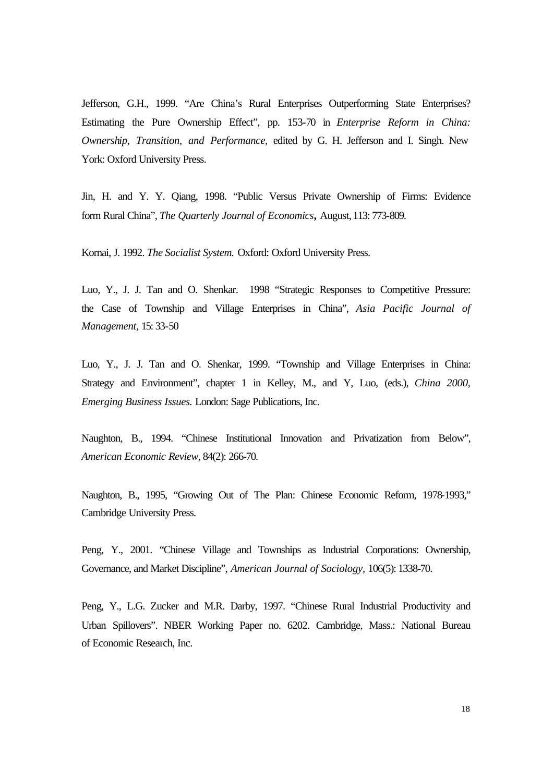Jefferson, G.H., 1999. "Are China's Rural Enterprises Outperforming State Enterprises? Estimating the Pure Ownership Effect", pp. 153-70 in *Enterprise Reform in China: Ownership, Transition, and Performance,* edited by G. H. Jefferson and I. Singh. New York: Oxford University Press.

Jin, H. and Y. Y. Qiang, 1998. "Public Versus Private Ownership of Firms: Evidence form Rural China", *The Quarterly Journal of Economics,* August, 113: 773-809.

Kornai, J. 1992. *The Socialist System.* Oxford: Oxford University Press.

Luo, Y., J. J. Tan and O. Shenkar. 1998 "Strategic Responses to Competitive Pressure: the Case of Township and Village Enterprises in China", *Asia Pacific Journal of Management,* 15: 33-50

Luo, Y., J. J. Tan and O. Shenkar, 1999. "Township and Village Enterprises in China: Strategy and Environment", chapter 1 in Kelley, M., and Y, Luo, (eds.), *China 2000, Emerging Business Issues.* London: Sage Publications, Inc.

Naughton, B., 1994. "Chinese Institutional Innovation and Privatization from Below", *American Economic Review,* 84(2): 266-70.

Naughton, B., 1995, "Growing Out of The Plan: Chinese Economic Reform, 1978-1993," Cambridge University Press.

Peng, Y., 2001. "Chinese Village and Townships as Industrial Corporations: Ownership, Governance, and Market Discipline", *American Journal of Sociology,* 106(5): 1338-70.

Peng, Y., L.G. Zucker and M.R. Darby, 1997. "Chinese Rural Industrial Productivity and Urban Spillovers". NBER Working Paper no. 6202. Cambridge, Mass.: National Bureau of Economic Research, Inc.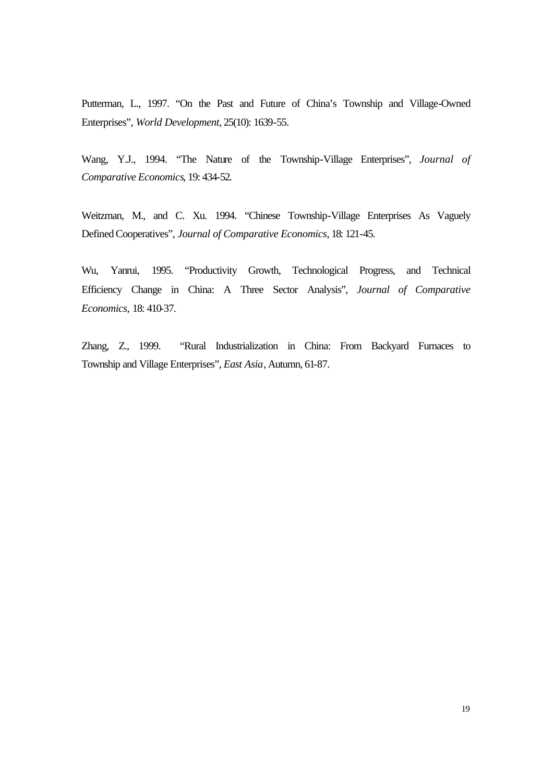Putterman, L., 1997. "On the Past and Future of China's Township and Village-Owned Enterprises", *World Development,* 25(10): 1639-55.

Wang, Y.J., 1994. "The Nature of the Township-Village Enterprises", *Journal of Comparative Economics*, 19: 434-52.

Weitzman, M., and C. Xu. 1994. "Chinese Township-Village Enterprises As Vaguely Defined Cooperatives", *Journal of Comparative Economics*, 18: 121-45.

Wu, Yanrui, 1995. "Productivity Growth, Technological Progress, and Technical Efficiency Change in China: A Three Sector Analysis", *Journal of Comparative Economics,* 18: 410-37.

Zhang, Z., 1999. "Rural Industrialization in China: From Backyard Furnaces to Township and Village Enterprises", *East Asia*, Autumn, 61-87.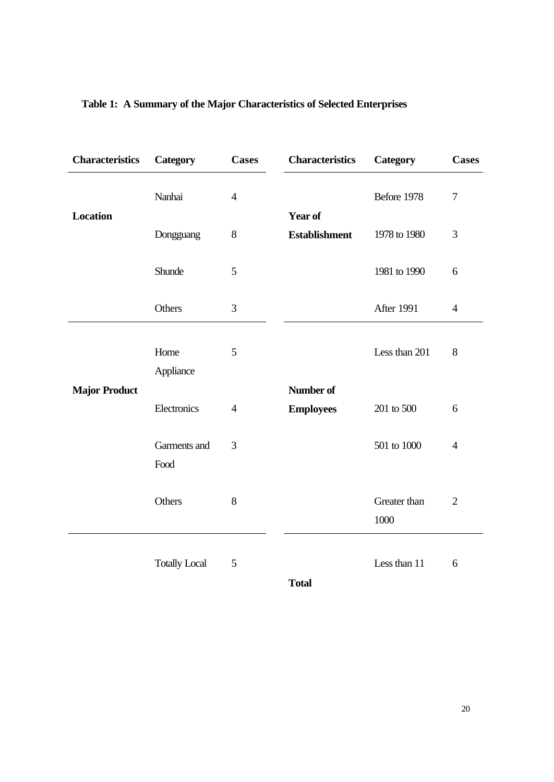| <b>Characteristics</b> | Category             | <b>Cases</b>   | <b>Characteristics</b>          | Category             | <b>Cases</b>   |
|------------------------|----------------------|----------------|---------------------------------|----------------------|----------------|
|                        | Nanhai               | $\overline{4}$ |                                 | Before 1978          | $\overline{7}$ |
| <b>Location</b>        | Dongguang            | 8              | Year of<br><b>Establishment</b> | 1978 to 1980         | 3              |
|                        | Shunde               | 5              |                                 | 1981 to 1990         | 6              |
|                        | Others               | 3              |                                 | After 1991           | $\overline{4}$ |
|                        | Home<br>Appliance    | 5              |                                 | Less than 201        | 8              |
| <b>Major Product</b>   | Electronics          | $\overline{4}$ | Number of<br><b>Employees</b>   | 201 to 500           | 6              |
|                        | Garments and<br>Food | 3              |                                 | 501 to 1000          | $\overline{4}$ |
|                        | Others               | 8              |                                 | Greater than<br>1000 | $\overline{2}$ |
|                        | <b>Totally Local</b> | 5              |                                 | Less than 11         | 6              |

## **Table 1: A Summary of the Major Characteristics of Selected Enterprises**

**Total**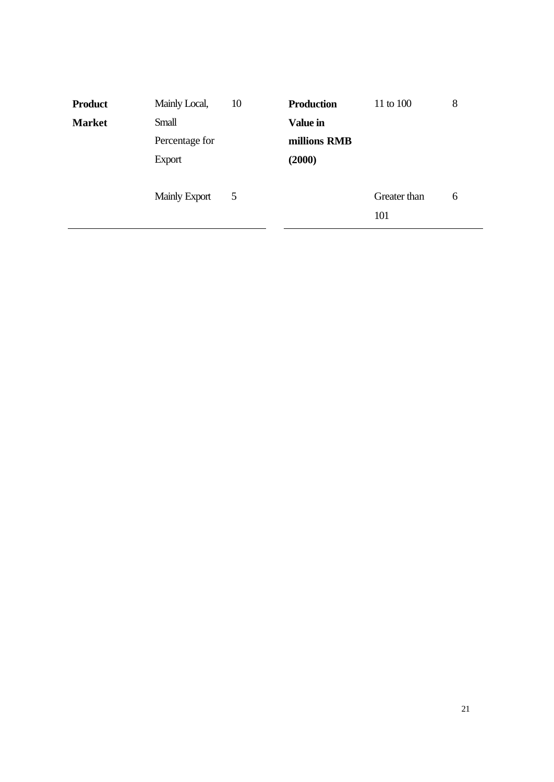|       |                                                         |                 |                     | 8 |
|-------|---------------------------------------------------------|-----------------|---------------------|---|
| Small |                                                         | <b>Value in</b> |                     |   |
|       |                                                         | millions RMB    |                     |   |
|       |                                                         | (2000)          |                     |   |
|       | 5                                                       |                 | Greater than<br>101 | 6 |
|       | Percentage for<br><b>Export</b><br><b>Mainly Export</b> |                 |                     |   |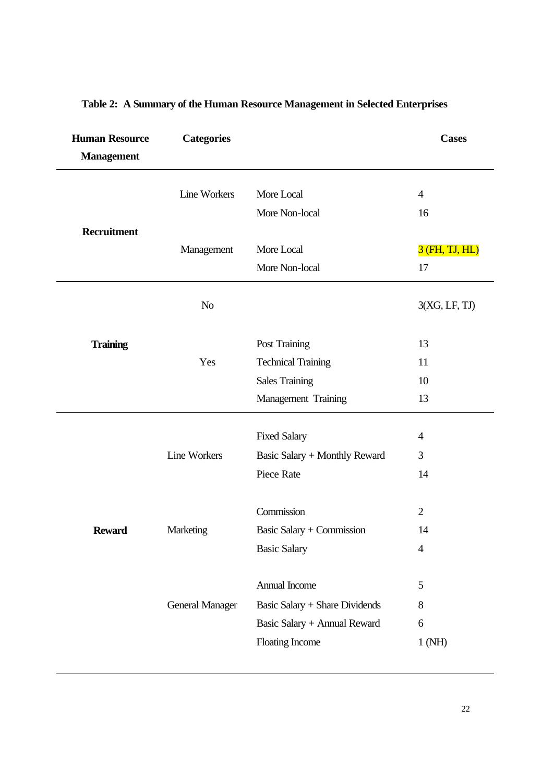| <b>Human Resource</b><br><b>Categories</b><br><b>Management</b> |                        |                                | <b>Cases</b>   |
|-----------------------------------------------------------------|------------------------|--------------------------------|----------------|
|                                                                 |                        |                                |                |
|                                                                 | <b>Line Workers</b>    | More Local                     | $\overline{4}$ |
|                                                                 |                        | More Non-local                 | 16             |
| <b>Recruitment</b>                                              | Management             | More Local                     | 3 (FH, TJ, HL) |
|                                                                 |                        | More Non-local                 | 17             |
|                                                                 | N <sub>o</sub>         |                                | 3(XG, LF, TJ)  |
| <b>Training</b>                                                 |                        | Post Training                  | 13             |
|                                                                 | Yes                    | <b>Technical Training</b>      | 11             |
|                                                                 |                        | <b>Sales Training</b>          | 10             |
|                                                                 |                        | Management Training            | 13             |
|                                                                 |                        |                                |                |
|                                                                 |                        | <b>Fixed Salary</b>            | $\overline{4}$ |
|                                                                 | Line Workers           | Basic Salary + Monthly Reward  | 3              |
|                                                                 |                        | Piece Rate                     | 14             |
|                                                                 |                        | Commission                     | $\overline{2}$ |
| <b>Reward</b>                                                   | Marketing              | Basic Salary + Commission      | 14             |
|                                                                 |                        | <b>Basic Salary</b>            | 4              |
|                                                                 |                        | Annual Income                  | 5              |
|                                                                 | <b>General Manager</b> | Basic Salary + Share Dividends | $\,8$          |
|                                                                 |                        | Basic Salary + Annual Reward   | 6              |
|                                                                 |                        | Floating Income                | 1 (NH)         |
|                                                                 |                        |                                |                |

## **Table 2: A Summary of the Human Resource Management in Selected Enterprises**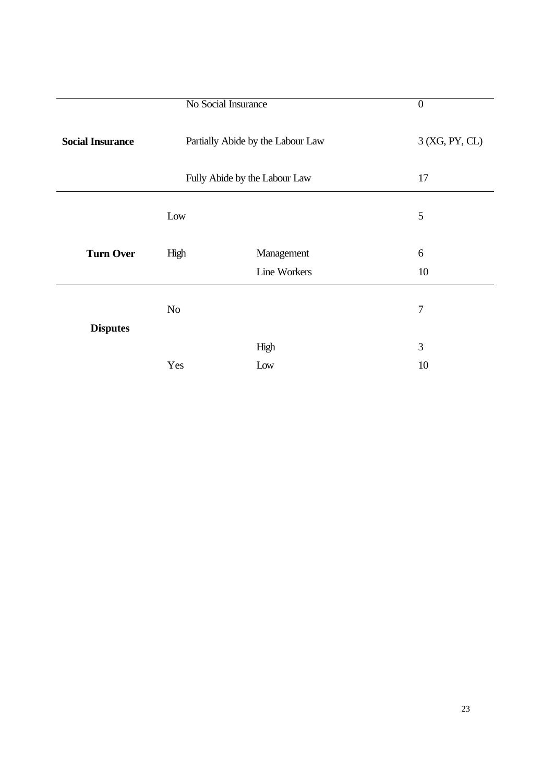|                         | No Social Insurance | $\boldsymbol{0}$                  |                |
|-------------------------|---------------------|-----------------------------------|----------------|
| <b>Social Insurance</b> |                     | Partially Abide by the Labour Law | 3 (XG, PY, CL) |
|                         |                     | Fully Abide by the Labour Law     | 17             |
|                         | Low                 |                                   | 5              |
| <b>Turn Over</b>        | High                | Management<br><b>Line Workers</b> | 6<br>10        |
|                         |                     |                                   |                |
|                         | N <sub>o</sub>      |                                   | $\overline{7}$ |
| <b>Disputes</b>         |                     |                                   |                |
|                         |                     | High                              | 3              |
|                         | Yes                 | Low                               | 10             |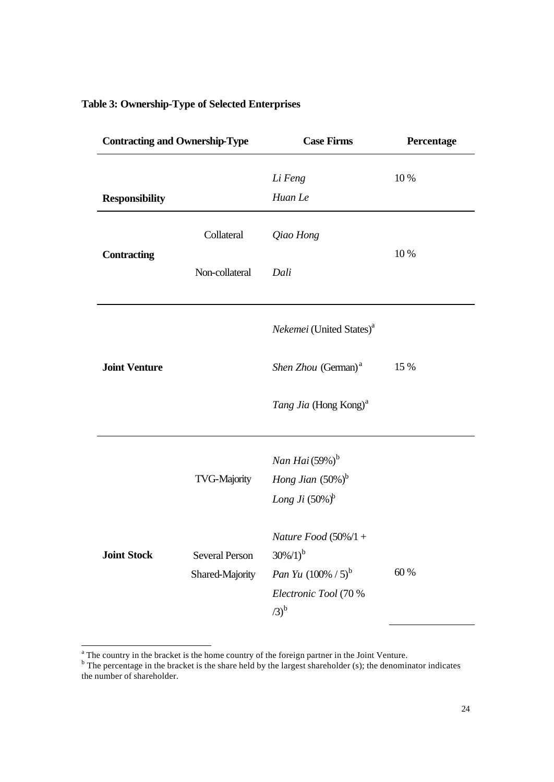## **Table 3: Ownership-Type of Selected Enterprises**

| <b>Contracting and Ownership-Type</b> |                        | <b>Case Firms</b>                        | Percentage |
|---------------------------------------|------------------------|------------------------------------------|------------|
|                                       |                        | Li Feng                                  | 10 %       |
| <b>Responsibility</b>                 |                        | Huan Le                                  |            |
|                                       | Collateral             | Qiao Hong                                |            |
| <b>Contracting</b>                    | Non-collateral<br>Dali |                                          | 10 %       |
|                                       |                        | Nekemei (United States) <sup>a</sup>     |            |
| <b>Joint Venture</b>                  |                        | Shen Zhou (German) <sup>a</sup>          | 15 %       |
|                                       |                        | Tang Jia (Hong Kong) <sup>a</sup>        |            |
|                                       |                        | Nan Hai $(59%)^b$                        |            |
|                                       | <b>TVG-Majority</b>    | Hong Jian $(50\%)^b$                     |            |
|                                       |                        | Long Ji $(50\%)^b$                       |            |
| <b>Joint Stock</b>                    | <b>Several Person</b>  | Nature Food $(50\%/1 +$<br>$30\%/1)^{b}$ |            |
|                                       | Shared-Majority        | <i>Pan Yu</i> $(100\% / 5)^{b}$          | 60 %       |
|                                       |                        | Electronic Tool (70 %<br>$(3)^{b}$       |            |

<sup>&</sup>lt;sup>a</sup> The country in the bracket is the home country of the foreign partner in the Joint Venture.<br><sup>b</sup> The percentage in the bracket is the share held by the largest shareholder (s); the denominator indicates the number of shareholder.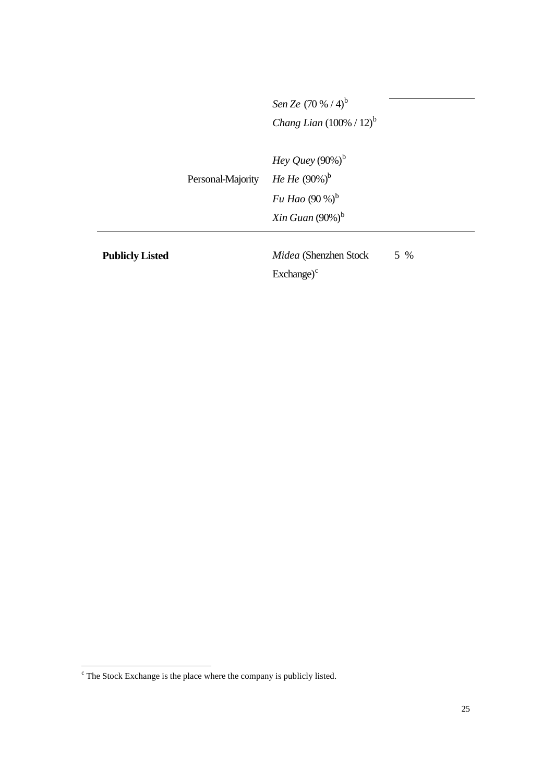|                   | Sen Ze $(70 % / 4)^{b}$              |
|-------------------|--------------------------------------|
|                   | <i>Chang Lian</i> $(100\% / 12)^{b}$ |
|                   |                                      |
|                   | Hey Quey $(90\%)^b$                  |
| Personal-Majority | <i>He He</i> $(90\%)^b$              |
|                   | <i>Fu Hao</i> $(90\%)^b$             |

*Xin Guan* (90%)<sup>b</sup>

**Publicly Listed** *Midea* (Shenzhen Stock  $\text{Exchange}^c$ 5 %

 $\epsilon$  The Stock Exchange is the place where the company is publicly listed.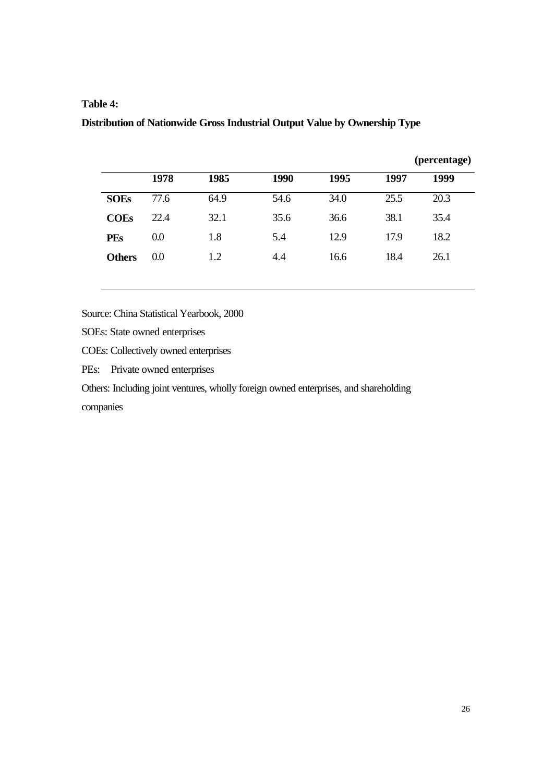#### **Table 4:**

### **Distribution of Nationwide Gross Industrial Output Value by Ownership Type**

|               |      |      |      |      |      | (percentage) |
|---------------|------|------|------|------|------|--------------|
|               | 1978 | 1985 | 1990 | 1995 | 1997 | 1999         |
| <b>SOEs</b>   | 77.6 | 64.9 | 54.6 | 34.0 | 25.5 | 20.3         |
| <b>COEs</b>   | 22.4 | 32.1 | 35.6 | 36.6 | 38.1 | 35.4         |
| <b>PEs</b>    | 0.0  | 1.8  | 5.4  | 12.9 | 17.9 | 18.2         |
| <b>Others</b> | 0.0  | 1.2  | 4.4  | 16.6 | 18.4 | 26.1         |
|               |      |      |      |      |      |              |

Source: China Statistical Yearbook, 2000

SOEs: State owned enterprises

COEs: Collectively owned enterprises

PEs: Private owned enterprises

Others: Including joint ventures, wholly foreign owned enterprises, and shareholding

companies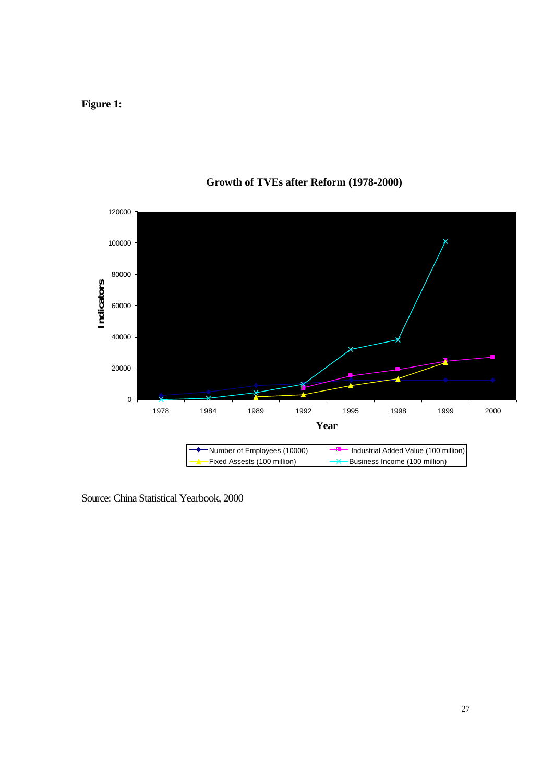**Figure 1:** 



## **Growth of TVEs after Reform (1978-2000)**

Source: China Statistical Yearbook, 2000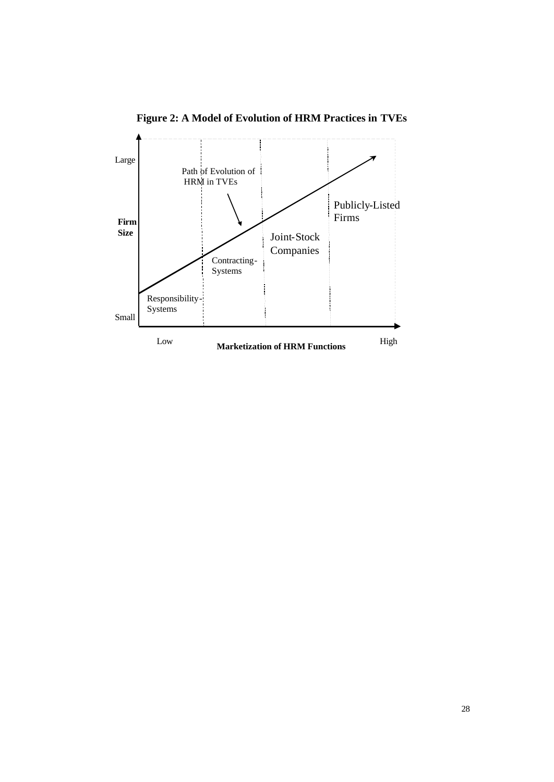

**Figure 2: A Model of Evolution of HRM Practices in TVEs**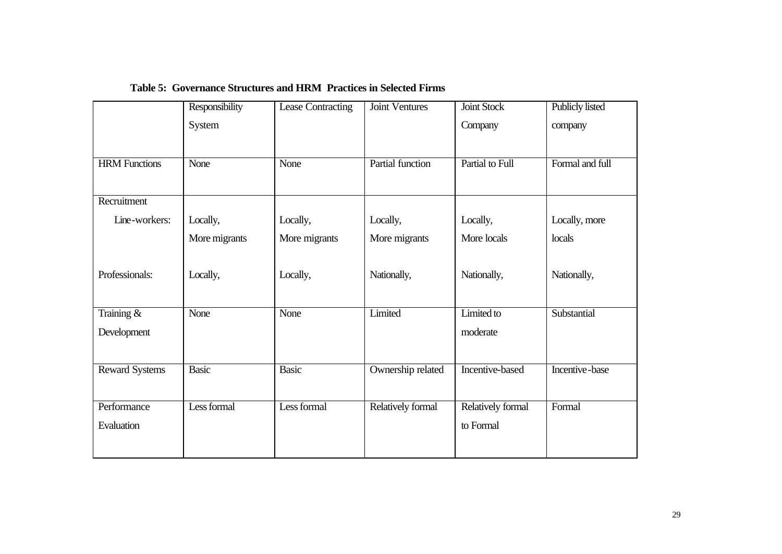|                       | Responsibility | <b>Lease Contracting</b> | <b>Joint Ventures</b> | Joint Stock       | <b>Publicly listed</b> |
|-----------------------|----------------|--------------------------|-----------------------|-------------------|------------------------|
|                       | System         |                          |                       | Company           | company                |
|                       |                |                          |                       |                   |                        |
| <b>HRM</b> Functions  | None           | None                     | Partial function      | Partial to Full   | Formal and full        |
|                       |                |                          |                       |                   |                        |
|                       |                |                          |                       |                   |                        |
| Recruitment           |                |                          |                       |                   |                        |
| Line-workers:         | Locally,       | Locally,                 | Locally,              | Locally,          | Locally, more          |
|                       | More migrants  | More migrants            | More migrants         | More locals       | locals                 |
|                       |                |                          |                       |                   |                        |
| Professionals:        | Locally,       | Locally,                 | Nationally,           | Nationally,       | Nationally,            |
|                       |                |                          |                       |                   |                        |
|                       |                |                          |                       |                   |                        |
| Training &            | None           | None                     | Limited               | Limited to        | Substantial            |
| Development           |                |                          |                       | moderate          |                        |
|                       |                |                          |                       |                   |                        |
| <b>Reward Systems</b> | <b>Basic</b>   | <b>Basic</b>             | Ownership related     | Incentive-based   | Incentive-base         |
|                       |                |                          |                       |                   |                        |
|                       |                |                          |                       |                   |                        |
| Performance           | Less formal    | Less formal              | Relatively formal     | Relatively formal | Formal                 |
| Evaluation            |                |                          |                       | to Formal         |                        |
|                       |                |                          |                       |                   |                        |
|                       |                |                          |                       |                   |                        |

### **Table 5: Governance Structures and HRM Practices in Selected Firms**